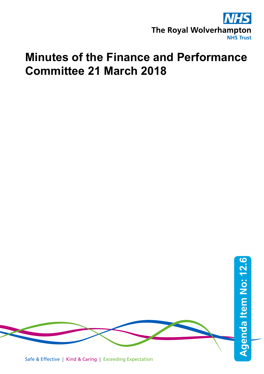

## **Minutes of the Finance and Performance Committee 21 March 2018**

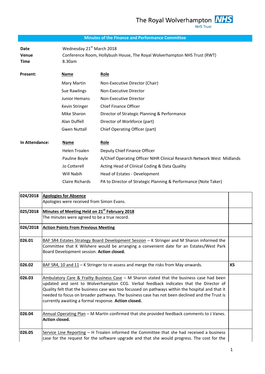The Royal Wolverhampton **NHS NHS Trust** 

## **Minutes of the Finance and Performance Committee**

**Date Wednesday 21<sup>st</sup> March 2018 Venue** Conference Room, Hollybush House, The Royal Wolverhampton NHS Trust (RWT) **Time** 8.30am

| Present:       | Name                   | <b>Role</b>                                                            |
|----------------|------------------------|------------------------------------------------------------------------|
|                | Mary Martin            | Non-Executive Director (Chair)                                         |
|                | Sue Rawlings           | Non-Executive Director                                                 |
|                | <b>Junior Hemans</b>   | Non-Executive Director                                                 |
|                | Kevin Stringer         | <b>Chief Finance Officer</b>                                           |
|                | Mike Sharon            | Director of Strategic Planning & Performance                           |
|                | Alan Duffell           | Director of Workforce (part)                                           |
|                | <b>Gwen Nuttall</b>    | Chief Operating Officer (part)                                         |
| In Attendance: | Name                   | <u>Role</u>                                                            |
|                | Helen Troalen          | Deputy Chief Finance Officer                                           |
|                | Pauline Boyle          | A/Chief Operating Officer NIHR Clinical Research Network West Midlands |
|                | Jo Cotterell           | Acting Head of Clinical Coding & Data Quality                          |
|                | Will Nabih             | Head of Estates - Development                                          |
|                | <b>Claire Richards</b> | PA to Director of Strategic Planning & Performance (Note Taker)        |

| <b>Apologies for Absence</b>                                                                     |                                                                                                                                                       |
|--------------------------------------------------------------------------------------------------|-------------------------------------------------------------------------------------------------------------------------------------------------------|
| Apologies were received from Simon Evans.                                                        |                                                                                                                                                       |
| Minutes of Meeting Held on 21 <sup>st</sup> February 2018                                        |                                                                                                                                                       |
| The minutes were agreed to be a true record.                                                     |                                                                                                                                                       |
| <b>Action Points From Previous Meeting</b>                                                       |                                                                                                                                                       |
| BAF SR4 Estates Strategy Board Development Session - K Stringer and M Sharon informed the        |                                                                                                                                                       |
| Committee that K Wilshere would be arranging a convenient date for an Estates/West Park          |                                                                                                                                                       |
| Board Development session. Action closed.                                                        |                                                                                                                                                       |
| BAF SR4, 10 and 11 - K Stringer to re-assess and merge the risks from May onwards.               | <b>KS</b>                                                                                                                                             |
| Ambulatory Care & Frailty Business Case $-$ M Sharon stated that the business case had been      |                                                                                                                                                       |
| updated and sent to Wolverhampton CCG. Verbal feedback indicates that the Director of            |                                                                                                                                                       |
| Quality felt that the business case was too focussed on pathways within the hospital and that it |                                                                                                                                                       |
|                                                                                                  |                                                                                                                                                       |
|                                                                                                  |                                                                                                                                                       |
| Annual Operating Plan - M Martin confirmed that she provided feedback comments to J Vanes.       |                                                                                                                                                       |
| Action closed.                                                                                   |                                                                                                                                                       |
| Service Line Reporting - H Troalen informed the Committee that she had received a business       |                                                                                                                                                       |
| case for the request for the software upgrade and that she would progress. The cost for the      |                                                                                                                                                       |
|                                                                                                  | needed to focus on broader pathways. The business case has not been declined and the Trust is<br>currently awaiting a formal response. Action closed. |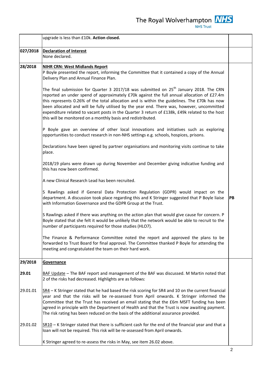The Royal Wolverhampton **NHS** 

|          | upgrade is less than £10k. Action closed.                                                                                                                                                                                                                                                                                                                                                                                                                                                                                                                        |    |
|----------|------------------------------------------------------------------------------------------------------------------------------------------------------------------------------------------------------------------------------------------------------------------------------------------------------------------------------------------------------------------------------------------------------------------------------------------------------------------------------------------------------------------------------------------------------------------|----|
| 027/2018 | <b>Declaration of Interest</b><br>None declared.                                                                                                                                                                                                                                                                                                                                                                                                                                                                                                                 |    |
| 28/2018  | <b>NIHR CRN: West Midlands Report</b><br>P Boyle presented the report, informing the Committee that it contained a copy of the Annual<br>Delivery Plan and Annual Finance Plan.                                                                                                                                                                                                                                                                                                                                                                                  |    |
|          | The final submission for Quarter 3 2017/18 was submitted on 25 <sup>th</sup> January 2018. The CRN<br>reported an under spend of approximately £70k against the full annual allocation of £27.4m<br>this represents 0.26% of the total allocation and is within the guidelines. The £70k has now<br>been allocated and will be fully utilised by the year end. There was, however, uncommitted<br>expenditure related to vacant posts in the Quarter 3 return of £138k, £49k related to the host<br>this will be monitored on a monthly basis and redistributed. |    |
|          | P Boyle gave an overview of other local innovations and initiatives such as exploring<br>opportunities to conduct research in non-NHS settings e.g. schools, hospices, prisons.                                                                                                                                                                                                                                                                                                                                                                                  |    |
|          | Declarations have been signed by partner organisations and monitoring visits continue to take<br>place.                                                                                                                                                                                                                                                                                                                                                                                                                                                          |    |
|          | 2018/19 plans were drawn up during November and December giving indicative funding and<br>this has now been confirmed.                                                                                                                                                                                                                                                                                                                                                                                                                                           |    |
|          | A new Clinical Research Lead has been recruited.                                                                                                                                                                                                                                                                                                                                                                                                                                                                                                                 |    |
|          | S Rawlings asked if General Data Protection Regulation (GDPR) would impact on the<br>department. A discussion took place regarding this and K Stringer suggested that P Boyle liaise<br>with Information Governance and the GDPR Group at the Trust.                                                                                                                                                                                                                                                                                                             | PB |
|          | S Rawlings asked if there was anything on the action plan that would give cause for concern. P<br>Boyle stated that she felt it would be unlikely that the network would be able to recruit to the<br>number of participants required for those studies (HLO7).                                                                                                                                                                                                                                                                                                  |    |
|          | The Finance & Performance Committee noted the report and approved the plans to be<br>forwarded to Trust Board for final approval. The Committee thanked P Boyle for attending the<br>meeting and congratulated the team on their hard work.                                                                                                                                                                                                                                                                                                                      |    |
| 29/2018  | <b>Governance</b>                                                                                                                                                                                                                                                                                                                                                                                                                                                                                                                                                |    |
| 29.01    | BAF Update - The BAF report and management of the BAF was discussed. M Martin noted that<br>2 of the risks had decreased. Highlights are as follows:                                                                                                                                                                                                                                                                                                                                                                                                             |    |
| 29.01.01 | $SR4 - K$ Stringer stated that he had based the risk scoring for SR4 and 10 on the current financial<br>year and that the risks will be re-assessed from April onwards. K Stringer informed the<br>Committee that the Trust has received an email stating that the £6m MSFT funding has been<br>agreed in principle with the Department of Health and that the Trust is now awaiting payment.<br>The risk rating has been reduced on the basis of the additional assurance provided.                                                                             |    |
| 29.01.02 | $SRIO - K$ Stringer stated that there is sufficient cash for the end of the financial year and that a<br>loan will not be required. This risk will be re-assessed from April onwards.                                                                                                                                                                                                                                                                                                                                                                            |    |
|          | K Stringer agreed to re-assess the risks in May, see item 26.02 above.                                                                                                                                                                                                                                                                                                                                                                                                                                                                                           |    |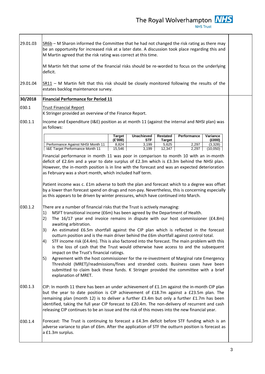The Royal Wolverhampton  $\frac{NHS}{NHS \text{ Trust}}$ 

| 29.01.03 | SR6b - M Sharon informed the Committee that he had not changed the risk rating as there may<br>be an opportunity for increased risk at a later date. A discussion took place regarding this and<br>M Martin agreed that the risk rating was correct at this time.<br>M Martin felt that some of the financial risks should be re-worded to focus on the underlying<br>deficit.                                                                                                                                                                                                                                                                                                                                                                                                                                                                                                                                                                                                                                          |  |
|----------|-------------------------------------------------------------------------------------------------------------------------------------------------------------------------------------------------------------------------------------------------------------------------------------------------------------------------------------------------------------------------------------------------------------------------------------------------------------------------------------------------------------------------------------------------------------------------------------------------------------------------------------------------------------------------------------------------------------------------------------------------------------------------------------------------------------------------------------------------------------------------------------------------------------------------------------------------------------------------------------------------------------------------|--|
| 29.01.04 | $SR11 - M$ Martin felt that this risk should be closely monitored following the results of the<br>estates backlog maintenance survey.                                                                                                                                                                                                                                                                                                                                                                                                                                                                                                                                                                                                                                                                                                                                                                                                                                                                                   |  |
| 30/2018  | <b>Financial Performance for Period 11</b>                                                                                                                                                                                                                                                                                                                                                                                                                                                                                                                                                                                                                                                                                                                                                                                                                                                                                                                                                                              |  |
| 030.1    | <b>Trust Financial Report</b><br>K Stringer provided an overview of the Finance Report.                                                                                                                                                                                                                                                                                                                                                                                                                                                                                                                                                                                                                                                                                                                                                                                                                                                                                                                                 |  |
| 030.1.1  | Income and Expenditure (I&E) position as at month 11 (against the internal and NHSI plan) was<br>as follows:                                                                                                                                                                                                                                                                                                                                                                                                                                                                                                                                                                                                                                                                                                                                                                                                                                                                                                            |  |
|          | <b>Unachieved</b><br>Restated<br><b>Target</b><br>Performance<br>Variance<br>(E'000)<br>STF<br>(E000)                                                                                                                                                                                                                                                                                                                                                                                                                                                                                                                                                                                                                                                                                                                                                                                                                                                                                                                   |  |
|          | <b>Target</b><br>Performance Against NHSI Month 11<br>8,824<br>3,199<br>5,625<br>2,297<br>(3,328)<br>I&E Target Performance Month 11<br>15,546<br>3,199<br>12,347<br>2,297<br>(10,050)                                                                                                                                                                                                                                                                                                                                                                                                                                                                                                                                                                                                                                                                                                                                                                                                                                  |  |
|          | Financial performance in month 11 was poor in comparison to month 10 with an in-month<br>deficit of £2.6m and a year to date surplus of £2.3m which is £3.3m behind the NHSI plan.<br>However, the in-month position is in line with the forecast and was an expected deterioration<br>as February was a short month, which included half term.<br>Patient income was c. £1m adverse to both the plan and forecast which to a degree was offset<br>by a lower than forecast spend on drugs and non-pay. Nevertheless, this is concerning especially<br>as this appears to be driven by winter pressures, which have continued into March.                                                                                                                                                                                                                                                                                                                                                                               |  |
| 030.1.2  | There are a number of financial risks that the Trust is actively managing:<br>MSFT transitional income (£6m) has been agreed by the Department of Health.<br>1)<br>The 16/17 year end invoice remains in dispute with our host commissioner (£4.8m)<br>2)<br>awaiting arbitration.<br>An estimated £6.5m shortfall against the CIP plan which is reflected in the forecast<br>3)<br>outturn position and is the main driver behind the £6m shortfall against control total.<br>4)<br>STF income risk (£4.4m). This is also factored into the forecast. The main problem with this<br>is the loss of cash that the Trust would otherwise have access to and the subsequent<br>impact on the Trust's financial ratings.<br>Agreement with the host commissioner for the re-investment of Marginal rate Emergency<br>5)<br>Threshold (MRET)/readmissions/fines and stranded costs. Business cases have been<br>submitted to claim back these funds. K Stringer provided the committee with a brief<br>explanation of MRET. |  |
| 030.1.3  | CIP: In month 11 there has been an under achievement of £1.1m against the in-month CIP plan<br>but the year to date position is CIP achievement of £18.7m against a £23.5m plan. The<br>remaining plan (month 12) is to deliver a further £3.4m but only a further £1.7m has been<br>identified, taking the full year CIP forecast to £20.4m. The non-delivery of recurrent and cash<br>releasing CIP continues to be an issue and the risk of this moves into the new financial year.                                                                                                                                                                                                                                                                                                                                                                                                                                                                                                                                  |  |
| 030.1.4  | Forecast: The Trust is continuing to forecast a £4.3m deficit before STF funding which is an<br>adverse variance to plan of £6m. After the application of STF the outturn position is forecast as<br>a £1.3m surplus.                                                                                                                                                                                                                                                                                                                                                                                                                                                                                                                                                                                                                                                                                                                                                                                                   |  |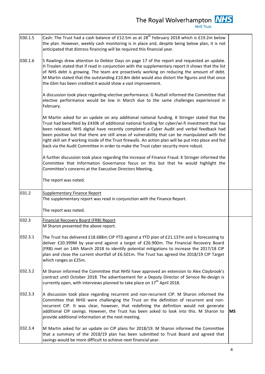The Royal Wolverhampton  $\frac{NHS}{NHS \text{ Trust}}$ 

| 030.1.5 | Cash: The Trust had a cash balance of £12.5m as at 28 <sup>th</sup> February 2018 which is £19.2m below<br>the plan. However, weekly cash monitoring is in place and, despite being below plan, it is not<br>anticipated that distress financing will be required this financial year.                                                                                                                                                                                                                                                                                                         |           |
|---------|------------------------------------------------------------------------------------------------------------------------------------------------------------------------------------------------------------------------------------------------------------------------------------------------------------------------------------------------------------------------------------------------------------------------------------------------------------------------------------------------------------------------------------------------------------------------------------------------|-----------|
| 030.1.6 | S Rawlings drew attention to Debtor Days on page 17 of the report and requested an update.<br>H Troalen stated that if read in conjunction with the supplementary report it shows that the list<br>of NHS debt is growing. The team are proactively working on reducing the amount of debt.<br>M Martin stated that the outstanding £10.8m debt would also distort the figures and that once<br>the £6m has been credited it would show a vast improvement.                                                                                                                                    |           |
|         | A discussion took place regarding elective performance. G Nuttall informed the Committee that<br>elective performance would be low in March due to the same challenges experienced in<br>February.                                                                                                                                                                                                                                                                                                                                                                                             |           |
|         | M Martin asked for an update on any additional national funding. K Stringer stated that the<br>Trust had benefited by £430k of additional national funding for cyber/wi-fi investment that has<br>been released. NHS digital have recently completed a Cyber Audit and verbal feedback had<br>been positive but that there are still areas of vulnerability that can be manipulated with the<br>right skill set if working inside of the Trust firewalls. An action plan will be put into place and fed<br>back via the Audit Committee in order to make the Trust cyber security more robust. |           |
|         | A further discussion took place regarding the increase of Finance Fraud. K Stringer informed the<br>Committee that Information Governance focus on this but that he would highlight the<br>Committee's concerns at the Executive Directors Meeting.                                                                                                                                                                                                                                                                                                                                            |           |
|         | The report was noted.                                                                                                                                                                                                                                                                                                                                                                                                                                                                                                                                                                          |           |
| 031.2   | <b>Supplementary Finance Report</b><br>The supplementary report was read in conjunction with the Finance Report.                                                                                                                                                                                                                                                                                                                                                                                                                                                                               |           |
|         | The report was noted.                                                                                                                                                                                                                                                                                                                                                                                                                                                                                                                                                                          |           |
| 032.3   | <b>Financial Recovery Board (FRB) Report</b><br>M Sharon presented the above report.                                                                                                                                                                                                                                                                                                                                                                                                                                                                                                           |           |
| 032.3.1 | The Trust has delivered £18.688m CIP YTD against a YTD plan of £21.137m and is forecasting to<br>deliver £20.399M by year-end against a target of £26.900m. The Financial Recovery Board<br>(FRB) met on 14th March 2018 to identify potential mitigations to increase the 2017/18 CIP<br>plan and close the current shortfall of £6.501m. The Trust has agreed the 2018/19 CIP Target<br>which ranges as £25m.                                                                                                                                                                                |           |
| 032.3.2 | M Sharon informed the Committee that NHSI have approved an extension to Alex Claybrook's<br>contract until October 2018. The advertisement for a Deputy Director of Service Re-design is<br>currently open, with interviews planned to take place on 17 <sup>th</sup> April 2018.                                                                                                                                                                                                                                                                                                              |           |
| 032.3.3 | A discussion took place regarding recurrent and non-recurrent CIP. M Sharon informed the<br>Committee that NHSI were challenging the Trust on the definition of recurrent and non-<br>recurrent CIP. It was clear, however, that redefining the definition would not generate<br>additional CIP savings. However, the Trust has been asked to look into this. M Sharon to<br>provide additional information at the next meeting.                                                                                                                                                               | <b>MS</b> |
| 032.3.4 | M Martin asked for an update on CIP plans for 2018/19. M Sharon informed the Committee<br>that a summary of the 2018/19 plan has been submitted to Trust Board and agreed that<br>savings would be more difficult to achieve next financial year.                                                                                                                                                                                                                                                                                                                                              |           |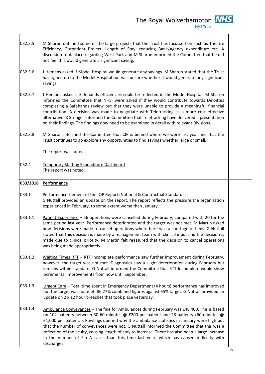The Royal Wolverhampton **NHS**<br>NHS Trust

| 032.3.5  | M Sharon outlined some of the large projects that the Trust has focussed on such as Theatre<br>Efficiency, Outpatient Project, Length of Stay, reducing Bank/Agency expenditure etc. A<br>discussion took place regarding West Park and M Sharon informed the Committee that he did<br>not feel this would generate a significant saving.                                                                                                                                                                                                                                                         |   |
|----------|---------------------------------------------------------------------------------------------------------------------------------------------------------------------------------------------------------------------------------------------------------------------------------------------------------------------------------------------------------------------------------------------------------------------------------------------------------------------------------------------------------------------------------------------------------------------------------------------------|---|
| 032.3.6  | J Hemans asked if Model Hospital would generate any savings. M Sharon stated that the Trust<br>has signed up to the Model Hospital but was unsure whether it would generate any significant<br>savings.                                                                                                                                                                                                                                                                                                                                                                                           |   |
| 032.3.7  | J Hemans asked if Safehands efficiencies could be reflected in the Model Hospital. M Sharon<br>informed the Committee that NHSI were asked if they would contribute towards Deloittes<br>completing a Safehands review but that they were unable to provide a meaningful financial<br>contribution. A decision was made to negotiate with Teletracking as a more cost effective<br>alternative. K Stringer informed the Committee that Teletracking have delivered a presentation<br>on their findings. The findings now need to be examined in detail with relevant Divisions.                   |   |
| 032.3.8  | M Sharon informed the Committee that CIP is behind where we were last year and that the<br>Trust continues to go explore any opportunities to find savings whether large or small.<br>The report was noted.                                                                                                                                                                                                                                                                                                                                                                                       |   |
|          |                                                                                                                                                                                                                                                                                                                                                                                                                                                                                                                                                                                                   |   |
| 032.4    | Temporary Staffing Expenditure Dashboard<br>The report was noted.                                                                                                                                                                                                                                                                                                                                                                                                                                                                                                                                 |   |
| 033/2018 | <b>Performance</b>                                                                                                                                                                                                                                                                                                                                                                                                                                                                                                                                                                                |   |
| 033.1    | Performance Element of the IQP Report (National & Contractual Standards)<br>G Nuttall provided an update on the report. The report reflects the pressure the organisation<br>experienced in February, to some extent worse than January.                                                                                                                                                                                                                                                                                                                                                          |   |
| 033.1.1  | Patient Experience - 56 operations were cancelled during February, compared with 20 for the<br>same period last year. Performance deteriorated and the target was not met. M Martin asked<br>how decisions were made to cancel operations when there was a shortage of beds. G Nuttall<br>stated that this decision is made by a management team with clinical input and the decision is<br>made due to clinical priority. M Martin felt reassured that the decision to cancel operations<br>was being made appropriately.                                                                        |   |
| 033.1.2  | Waiting Times RTT - RTT Incomplete performance saw further improvement during February,<br>however, the target was not met. Diagnostics saw a slight deterioration during February but<br>remains within standard. G Nuttall informed the Committee that RTT Incomplete would show<br>incremental improvements from now until September.                                                                                                                                                                                                                                                          |   |
| 033.1.3  | Urgent Care - Total time spent in Emergency Department (4 hours) performance has improved<br>but the target was not met, 86.27% combined figures against 95% target. G Nuttall provided an<br>update on 2 x 12 hour breaches that took place yesterday.                                                                                                                                                                                                                                                                                                                                           |   |
| 033.1.4  | Ambulance Conveyances - The fine for Ambulances during February was £48,400. This is based<br>on 102 patients between 30-60 minutes @ £200 per patient and 28 patients >60 minutes @<br>£1,000 per patient. S Rawlings queried why the ambulance statistics in January were high but<br>that the number of conveyances were not. G Nuttall informed the Committee that this was a<br>reflection of the acuity, causing length of stay to increase. There has also been a large increase<br>in the number of Flu A cases than this time last year, which has caused difficulty with<br>discharges. | 5 |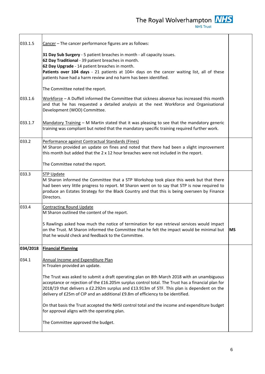The Royal Wolverhampton **NHS** 

| 033.1.5  | Cancer - The cancer performance figures are as follows:                                                                                                                                                                                                                                                                                                                          |           |
|----------|----------------------------------------------------------------------------------------------------------------------------------------------------------------------------------------------------------------------------------------------------------------------------------------------------------------------------------------------------------------------------------|-----------|
|          | 31 Day Sub Surgery - 5 patient breaches in month - all capacity issues.<br>62 Day Traditional - 39 patient breaches in month.<br>62 Day Upgrade - 14 patient breaches in month.<br>Patients over 104 days - 21 patients at 104+ days on the cancer waiting list, all of these<br>patients have had a harm review and no harm has been identified.                                |           |
|          | The Committee noted the report.                                                                                                                                                                                                                                                                                                                                                  |           |
| 033.1.6  | Workforce - A Duffell informed the Committee that sickness absence has increased this month<br>and that he has requested a detailed analysis at the next Workforce and Organisational<br>Development (WOD) Committee.                                                                                                                                                            |           |
| 033.1.7  | Mandatory Training - M Martin stated that it was pleasing to see that the mandatory generic<br>training was compliant but noted that the mandatory specific training required further work.                                                                                                                                                                                      |           |
| 033.2    | Performance against Contractual Standards (Fines)<br>M Sharon provided an update on fines and noted that there had been a slight improvement<br>this month but added that the 2 x 12 hour breaches were not included in the report.                                                                                                                                              |           |
|          | The Committee noted the report.                                                                                                                                                                                                                                                                                                                                                  |           |
| 033.3    | <b>STP Update</b><br>M Sharon informed the Committee that a STP Workshop took place this week but that there<br>had been very little progress to report. M Sharon went on to say that STP is now required to<br>produce an Estates Strategy for the Black Country and that this is being overseen by Finance<br>Directors.                                                       |           |
| 033.4    | <b>Contracting Round Update</b>                                                                                                                                                                                                                                                                                                                                                  |           |
|          | M Sharon outlined the content of the report.                                                                                                                                                                                                                                                                                                                                     |           |
|          | S Rawlings asked how much the notice of termination for eye retrieval services would impact<br>on the Trust. M Sharon informed the Committee that he felt the impact would be minimal but<br>that he would check and feedback to the Committee.                                                                                                                                  | <b>MS</b> |
| 034/2018 | <b>Financial Planning</b>                                                                                                                                                                                                                                                                                                                                                        |           |
| 034.1    | Annual Income and Expenditure Plan<br>H Troalen provided an update.                                                                                                                                                                                                                                                                                                              |           |
|          | The Trust was asked to submit a draft operating plan on 8th March 2018 with an unambiguous<br>acceptance or rejection of the £16.205m surplus control total. The Trust has a financial plan for<br>2018/19 that delivers a £2.292m surplus and £13.913m of STF. This plan is dependent on the<br>delivery of £25m of CIP and an additional £9.8m of efficiency to be identified. |           |
|          | On that basis the Trust accepted the NHSI control total and the income and expenditure budget<br>for approval aligns with the operating plan.                                                                                                                                                                                                                                    |           |
|          | The Committee approved the budget.                                                                                                                                                                                                                                                                                                                                               |           |
|          |                                                                                                                                                                                                                                                                                                                                                                                  |           |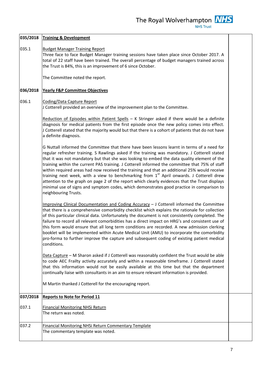|          | 035/2018 Training & Development                                                                                                                                                                                                                                                                                                                                                                                                                                                                                                                                                                                                                                                                                                                                                                                               |  |
|----------|-------------------------------------------------------------------------------------------------------------------------------------------------------------------------------------------------------------------------------------------------------------------------------------------------------------------------------------------------------------------------------------------------------------------------------------------------------------------------------------------------------------------------------------------------------------------------------------------------------------------------------------------------------------------------------------------------------------------------------------------------------------------------------------------------------------------------------|--|
| 035.1    | <b>Budget Manager Training Report</b><br>Three face to face Budget Manager training sessions have taken place since October 2017. A<br>total of 22 staff have been trained. The overall percentage of budget managers trained across<br>the Trust is 84%, this is an improvement of 6 since October.                                                                                                                                                                                                                                                                                                                                                                                                                                                                                                                          |  |
|          | The Committee noted the report.                                                                                                                                                                                                                                                                                                                                                                                                                                                                                                                                                                                                                                                                                                                                                                                               |  |
| 036/2018 | <b>Yearly F&amp;P Committee Objectives</b>                                                                                                                                                                                                                                                                                                                                                                                                                                                                                                                                                                                                                                                                                                                                                                                    |  |
| 036.1    | Coding/Data Capture Report<br>J Cotterell provided an overview of the improvement plan to the Committee.                                                                                                                                                                                                                                                                                                                                                                                                                                                                                                                                                                                                                                                                                                                      |  |
|          | Reduction of Episodes within Patient Spells $-$ K Stringer asked if there would be a definite<br>diagnosis for medical patients from the first episode once the new policy comes into effect.<br>J Cotterell stated that the majority would but that there is a cohort of patients that do not have<br>a definite diagnosis.                                                                                                                                                                                                                                                                                                                                                                                                                                                                                                  |  |
|          | G Nuttall informed the Committee that there have been lessons learnt in terms of a need for<br>regular refresher training. S Rawlings asked if the training was mandatory. J Cotterell stated<br>that it was not mandatory but that she was looking to embed the data quality element of the<br>training within the current PAS training. J Cotterell informed the committee that 75% of staff<br>within required areas had now received the training and that an additional 25% would receive<br>training next week, with a view to benchmarking from 1 <sup>st</sup> April onwards. J Cotterell drew<br>attention to the graph on page 2 of the report which clearly evidences that the Trust displays<br>minimal use of signs and symptom codes, which demonstrates good practice in comparison to<br>neighbouring Trusts. |  |
|          | Improving Clinical Documentation and Coding Accuracy $-1$ Cotterell informed the Committee<br>that there is a comprehensive comorbidity checklist which explains the rationale for collection<br>of this particular clinical data. Unfortunately the document is not consistently completed. The<br>failure to record all relevant comorbidities has a direct impact on HRG's and consistent use of<br>this form would ensure that all long term conditions are recorded. A new admission clerking<br>booklet will be implemented within Acute Medical Unit (AMU) to incorporate the comorbidity<br>pro-forma to further improve the capture and subsequent coding of existing patient medical<br>conditions.                                                                                                                 |  |
|          | Data Capture - M Sharon asked if J Cotterell was reasonably confident the Trust would be able<br>to code AEC Frailty activity accurately and within a reasonable timeframe. J Cotterell stated<br>that this information would not be easily available at this time but that the department<br>continually liaise with consultants in an aim to ensure relevant information is provided.                                                                                                                                                                                                                                                                                                                                                                                                                                       |  |
|          | M Martin thanked J Cotterell for the encouraging report.                                                                                                                                                                                                                                                                                                                                                                                                                                                                                                                                                                                                                                                                                                                                                                      |  |
| 037/2018 | <b>Reports to Note for Period 11</b>                                                                                                                                                                                                                                                                                                                                                                                                                                                                                                                                                                                                                                                                                                                                                                                          |  |
| 037.1    | <b>Financial Monitoring NHSi Return</b><br>The return was noted.                                                                                                                                                                                                                                                                                                                                                                                                                                                                                                                                                                                                                                                                                                                                                              |  |
| 037.2    | <b>Financial Monitoring NHSi Return Commentary Template</b><br>The commentary template was noted.                                                                                                                                                                                                                                                                                                                                                                                                                                                                                                                                                                                                                                                                                                                             |  |